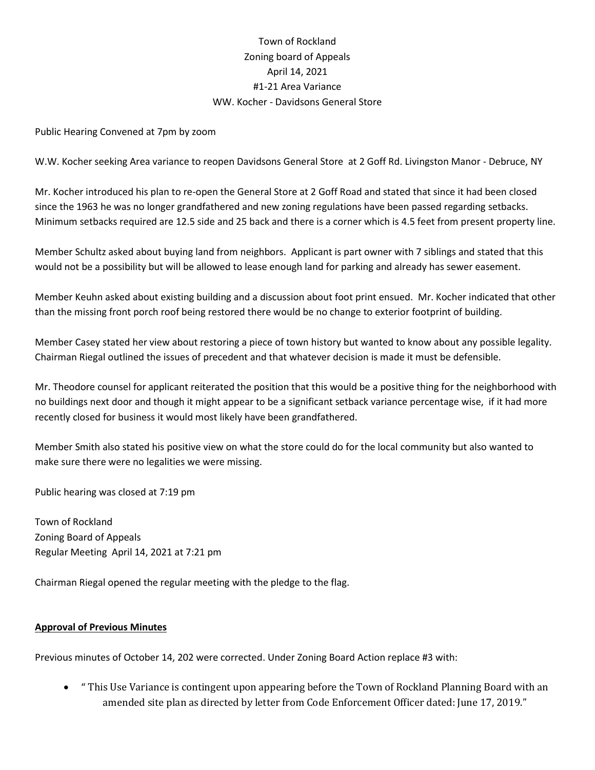# Town of Rockland Zoning board of Appeals April 14, 2021 #1-21 Area Variance WW. Kocher - Davidsons General Store

Public Hearing Convened at 7pm by zoom

W.W. Kocher seeking Area variance to reopen Davidsons General Store at 2 Goff Rd. Livingston Manor - Debruce, NY

Mr. Kocher introduced his plan to re-open the General Store at 2 Goff Road and stated that since it had been closed since the 1963 he was no longer grandfathered and new zoning regulations have been passed regarding setbacks. Minimum setbacks required are 12.5 side and 25 back and there is a corner which is 4.5 feet from present property line.

Member Schultz asked about buying land from neighbors. Applicant is part owner with 7 siblings and stated that this would not be a possibility but will be allowed to lease enough land for parking and already has sewer easement.

Member Keuhn asked about existing building and a discussion about foot print ensued. Mr. Kocher indicated that other than the missing front porch roof being restored there would be no change to exterior footprint of building.

Member Casey stated her view about restoring a piece of town history but wanted to know about any possible legality. Chairman Riegal outlined the issues of precedent and that whatever decision is made it must be defensible.

Mr. Theodore counsel for applicant reiterated the position that this would be a positive thing for the neighborhood with no buildings next door and though it might appear to be a significant setback variance percentage wise, if it had more recently closed for business it would most likely have been grandfathered.

Member Smith also stated his positive view on what the store could do for the local community but also wanted to make sure there were no legalities we were missing.

Public hearing was closed at 7:19 pm

Town of Rockland Zoning Board of Appeals Regular Meeting April 14, 2021 at 7:21 pm

Chairman Riegal opened the regular meeting with the pledge to the flag.

#### **Approval of Previous Minutes**

Previous minutes of October 14, 202 were corrected. Under Zoning Board Action replace #3 with:

• " This Use Variance is contingent upon appearing before the Town of Rockland Planning Board with an amended site plan as directed by letter from Code Enforcement Officer dated: June 17, 2019."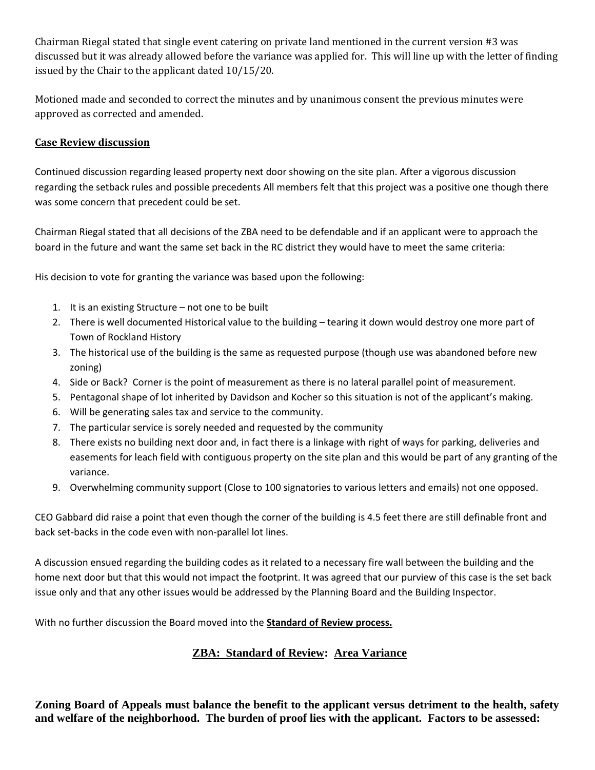Chairman Riegal stated that single event catering on private land mentioned in the current version #3 was discussed but it was already allowed before the variance was applied for. This will line up with the letter of finding issued by the Chair to the applicant dated 10/15/20.

Motioned made and seconded to correct the minutes and by unanimous consent the previous minutes were approved as corrected and amended.

### **Case Review discussion**

Continued discussion regarding leased property next door showing on the site plan. After a vigorous discussion regarding the setback rules and possible precedents All members felt that this project was a positive one though there was some concern that precedent could be set.

Chairman Riegal stated that all decisions of the ZBA need to be defendable and if an applicant were to approach the board in the future and want the same set back in the RC district they would have to meet the same criteria:

His decision to vote for granting the variance was based upon the following:

- 1. It is an existing Structure not one to be built
- 2. There is well documented Historical value to the building tearing it down would destroy one more part of Town of Rockland History
- 3. The historical use of the building is the same as requested purpose (though use was abandoned before new zoning)
- 4. Side or Back? Corner is the point of measurement as there is no lateral parallel point of measurement.
- 5. Pentagonal shape of lot inherited by Davidson and Kocher so this situation is not of the applicant's making.
- 6. Will be generating sales tax and service to the community.
- 7. The particular service is sorely needed and requested by the community
- 8. There exists no building next door and, in fact there is a linkage with right of ways for parking, deliveries and easements for leach field with contiguous property on the site plan and this would be part of any granting of the variance.
- 9. Overwhelming community support (Close to 100 signatories to various letters and emails) not one opposed.

CEO Gabbard did raise a point that even though the corner of the building is 4.5 feet there are still definable front and back set-backs in the code even with non-parallel lot lines.

A discussion ensued regarding the building codes as it related to a necessary fire wall between the building and the home next door but that this would not impact the footprint. It was agreed that our purview of this case is the set back issue only and that any other issues would be addressed by the Planning Board and the Building Inspector.

With no further discussion the Board moved into the **Standard of Review process.**

# **ZBA: Standard of Review: Area Variance**

**Zoning Board of Appeals must balance the benefit to the applicant versus detriment to the health, safety and welfare of the neighborhood. The burden of proof lies with the applicant. Factors to be assessed:**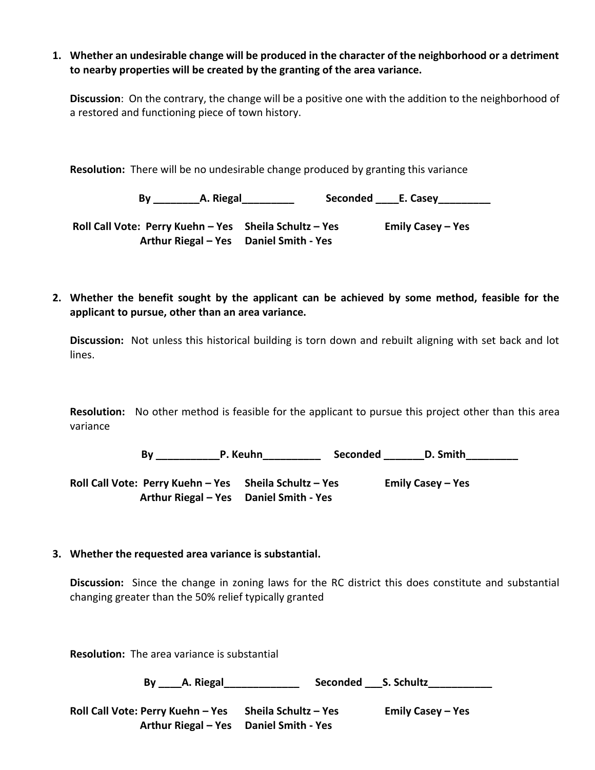**1. Whether an undesirable change will be produced in the character of the neighborhood or a detriment to nearby properties will be created by the granting of the area variance.**

**Discussion**: On the contrary, the change will be a positive one with the addition to the neighborhood of a restored and functioning piece of town history.

**Resolution:** There will be no undesirable change produced by granting this variance

 **By \_\_\_\_\_\_\_\_A. Riegal\_\_\_\_\_\_\_\_\_ Seconded \_\_\_\_E. Casey\_\_\_\_\_\_\_\_\_**

**Roll Call Vote: Perry Kuehn – Yes Sheila Schultz – Yes Emily Casey – Yes Arthur Riegal – Yes Daniel Smith - Yes**

**2. Whether the benefit sought by the applicant can be achieved by some method, feasible for the applicant to pursue, other than an area variance.**

**Discussion:** Not unless this historical building is torn down and rebuilt aligning with set back and lot lines.

**Resolution:** No other method is feasible for the applicant to pursue this project other than this area variance

 **By \_\_\_\_\_\_\_\_\_\_\_P. Keuhn\_\_\_\_\_\_\_\_\_\_ Seconded \_\_\_\_\_\_\_D. Smith\_\_\_\_\_\_\_\_\_**

**Roll Call Vote: Perry Kuehn – Yes Sheila Schultz – Yes Emily Casey – Yes Arthur Riegal – Yes Daniel Smith - Yes**

#### **3. Whether the requested area variance is substantial.**

**Discussion:** Since the change in zoning laws for the RC district this does constitute and substantial changing greater than the 50% relief typically granted

**Resolution:** The area variance is substantial

 **By \_\_\_\_A. Riegal\_\_\_\_\_\_\_\_\_\_\_\_\_ Seconded \_\_\_S. Schultz\_\_\_\_\_\_\_\_\_\_\_**

**Roll Call Vote: Perry Kuehn – Yes Sheila Schultz – Yes Emily Casey – Yes Arthur Riegal – Yes Daniel Smith - Yes**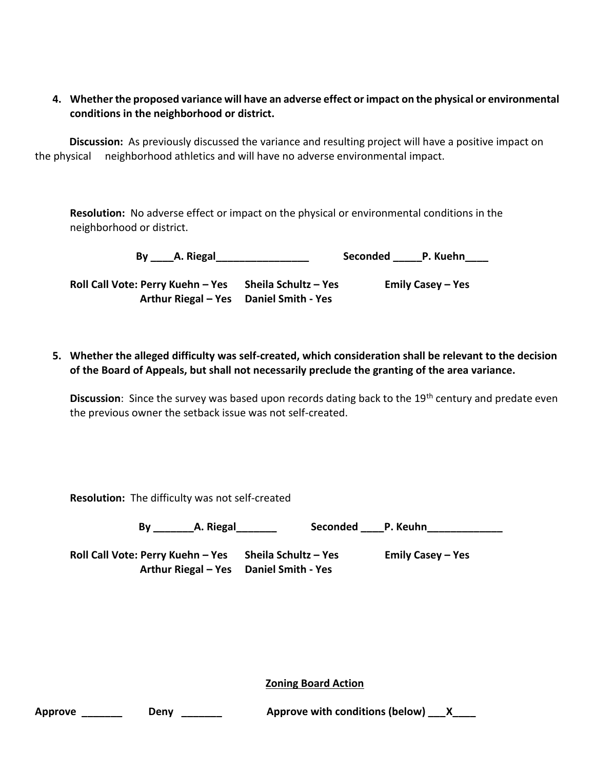## **4. Whether the proposed variance will have an adverse effect or impact on the physical or environmental conditions in the neighborhood or district.**

 **Discussion:** As previously discussed the variance and resulting project will have a positive impact on the physical neighborhood athletics and will have no adverse environmental impact.

**Resolution:** No adverse effect or impact on the physical or environmental conditions in the neighborhood or district.

**By** A. Riegal **Reserve A. Riegal** Seconded P. Kuehn

**Roll Call Vote: Perry Kuehn – Yes Sheila Schultz – Yes Emily Casey – Yes Arthur Riegal – Yes Daniel Smith - Yes**

**5. Whether the alleged difficulty was self-created, which consideration shall be relevant to the decision of the Board of Appeals, but shall not necessarily preclude the granting of the area variance.**

Discussion: Since the survey was based upon records dating back to the 19<sup>th</sup> century and predate even the previous owner the setback issue was not self-created.

**Resolution:** The difficulty was not self-created

By A. Riegal **Seconded** P. Keuhn

**Roll Call Vote: Perry Kuehn – Yes Sheila Schultz – Yes Emily Casey – Yes Arthur Riegal – Yes Daniel Smith - Yes**

**Zoning Board Action**

| Approve | Denv | Approve with conditions (below) ____ X_____ |  |
|---------|------|---------------------------------------------|--|
|---------|------|---------------------------------------------|--|